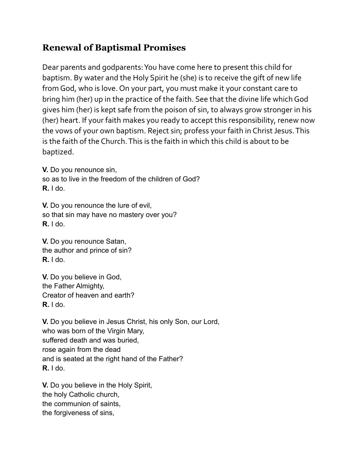## **Renewal of Baptismal Promises**

Dear parents and godparents:You have come here to present this child for baptism. By water and the Holy Spirit he (she) is to receive the gift of new life from God, who is love. On your part, you must make it your constant care to bring him (her) up in the practice of the faith. See that the divine life whichGod gives him (her) is kept safe from the poison of sin, to always grow stronger in his (her) heart. If your faith makes you ready to accept this responsibility, renew now the vows of your own baptism. Reject sin; profess your faith in Christ Jesus. This is the faith of the Church.This is the faith in which this child is about to be baptized.

**V.** Do you renounce sin, so as to live in the freedom of the children of God? **R.** I do.

**V.** Do you renounce the lure of evil, so that sin may have no mastery over you? **R.** I do.

**V.** Do you renounce Satan, the author and prince of sin? **R.** I do.

**V.** Do you believe in God, the Father Almighty, Creator of heaven and earth? **R.** I do.

**V.** Do you believe in Jesus Christ, his only Son, our Lord, who was born of the Virgin Mary, suffered death and was buried, rose again from the dead and is seated at the right hand of the Father? **R.** I do.

**V.** Do you believe in the Holy Spirit, the holy Catholic church, the communion of saints, the forgiveness of sins,